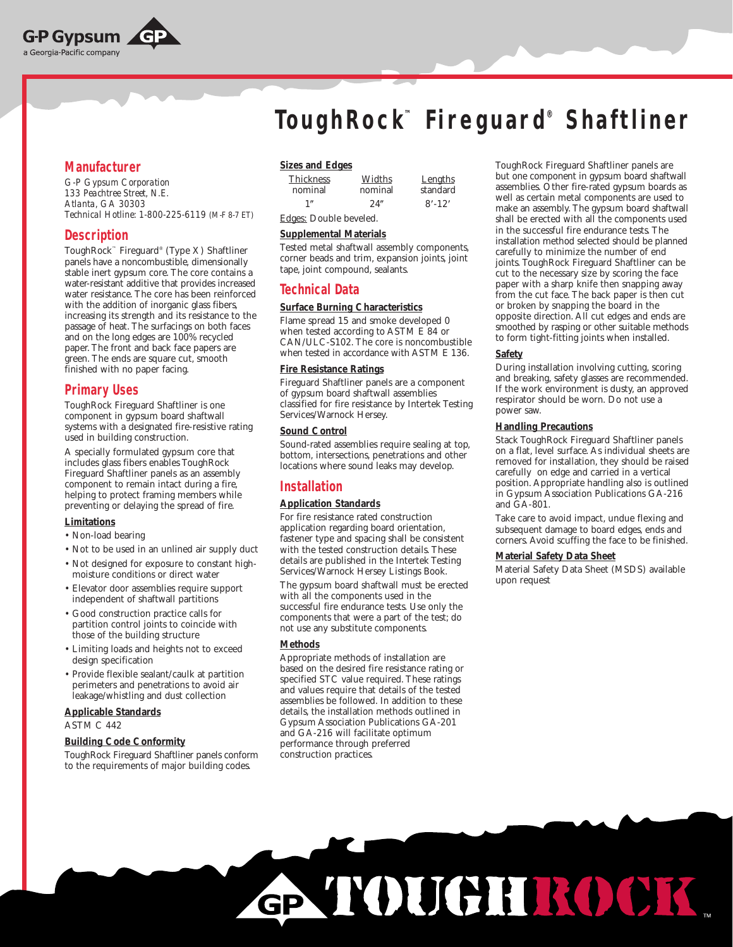

# **Manufacturer**

*G-P Gypsum Corporation 133 Peachtree Street, N.E. Atlanta, GA 30303 Technical Hotline: 1-800-225-6119 (M-F 8-7 ET)*

## **Description**

ToughRock™ Fireguard® (Type X) Shaftliner panels have a noncombustible, dimensionally stable inert gypsum core. The core contains a water-resistant additive that provides increased water resistance. The core has been reinforced with the addition of inorganic glass fibers, increasing its strength and its resistance to the passage of heat. The surfacings on both faces and on the long edges are 100% recycled paper. The front and back face papers are green. The ends are square cut, smooth finished with no paper facing.

# **Primary Uses**

ToughRock Fireguard Shaftliner is one component in gypsum board shaftwall systems with a designated fire-resistive rating used in building construction.

A specially formulated gypsum core that includes glass fibers enables ToughRock Fireguard Shaftliner panels as an assembly component to remain intact during a fire, helping to protect framing members while preventing or delaying the spread of fire.

## **Limitations**

- Non-load bearing
- Not to be used in an unlined air supply duct
- Not designed for exposure to constant highmoisture conditions or direct water
- Elevator door assemblies require support independent of shaftwall partitions
- Good construction practice calls for partition control joints to coincide with those of the building structure
- Limiting loads and heights not to exceed design specification
- Provide flexible sealant/caulk at partition perimeters and penetrations to avoid air leakage/whistling and dust collection

## **Applicable Standards** ASTM C 442

## **Building Code Conformity**

ToughRock Fireguard Shaftliner panels conform to the requirements of major building codes.

# **ToughRock™ Fireguard® Shaftliner**

## **Sizes and Edges**

| <b>Thickness</b> | Widths  | Lengths    |
|------------------|---------|------------|
| nominal          | nominal | standard   |
| 1 <sup>n</sup>   | 24"     | $8' - 12'$ |

## Edges: Double beveled.

## **Supplemental Materials**

Tested metal shaftwall assembly components, corner beads and trim, expansion joints, joint tape, joint compound, sealants.

# **Technical Data**

## **Surface Burning Characteristics**

Flame spread 15 and smoke developed 0 when tested according to ASTM E 84 or CAN/ULC-S102. The core is noncombustible when tested in accordance with ASTM E 136.

## **Fire Resistance Ratings**

Fireguard Shaftliner panels are a component of gypsum board shaftwall assemblies classified for fire resistance by Intertek Testing Services/Warnock Hersey.

## **Sound Control**

Sound-rated assemblies require sealing at top, bottom, intersections, penetrations and other locations where sound leaks may develop.

# **Installation**

## **Application Standards**

For fire resistance rated construction application regarding board orientation, fastener type and spacing shall be consistent with the tested construction details. These details are published in the Intertek Testing Services/Warnock Hersey Listings Book.

The gypsum board shaftwall must be erected with all the components used in the successful fire endurance tests. Use only the components that were a part of the test; do not use any substitute components.

## **Methods**

Appropriate methods of installation are based on the desired fire resistance rating or specified STC value required. These ratings and values require that details of the tested assemblies be followed. In addition to these details, the installation methods outlined in Gypsum Association Publications GA-201 and GA-216 will facilitate optimum performance through preferred construction practices.

ToughRock Fireguard Shaftliner panels are but one component in gypsum board shaftwall assemblies. Other fire-rated gypsum boards as well as certain metal components are used to make an assembly. The gypsum board shaftwall shall be erected with all the components used in the successful fire endurance tests. The installation method selected should be planned carefully to minimize the number of end joints. ToughRock Fireguard Shaftliner can be cut to the necessary size by scoring the face paper with a sharp knife then snapping away from the cut face. The back paper is then cut or broken by snapping the board in the opposite direction. All cut edges and ends are smoothed by rasping or other suitable methods to form tight-fitting joints when installed.

## **Safety**

During installation involving cutting, scoring and breaking, safety glasses are recommended. If the work environment is dusty, an approved respirator should be worn. Do not use a power saw.

## **Handling Precautions**

Stack ToughRock Fireguard Shaftliner panels on a flat, level surface. As individual sheets are removed for installation, they should be raised carefully on edge and carried in a vertical position. Appropriate handling also is outlined in Gypsum Association Publications GA-216 and GA-801.

Take care to avoid impact, undue flexing and subsequent damage to board edges, ends and corners. Avoid scuffing the face to be finished.

## **Material Safety Data Sheet**

Material Safety Data Sheet (MSDS) available upon request